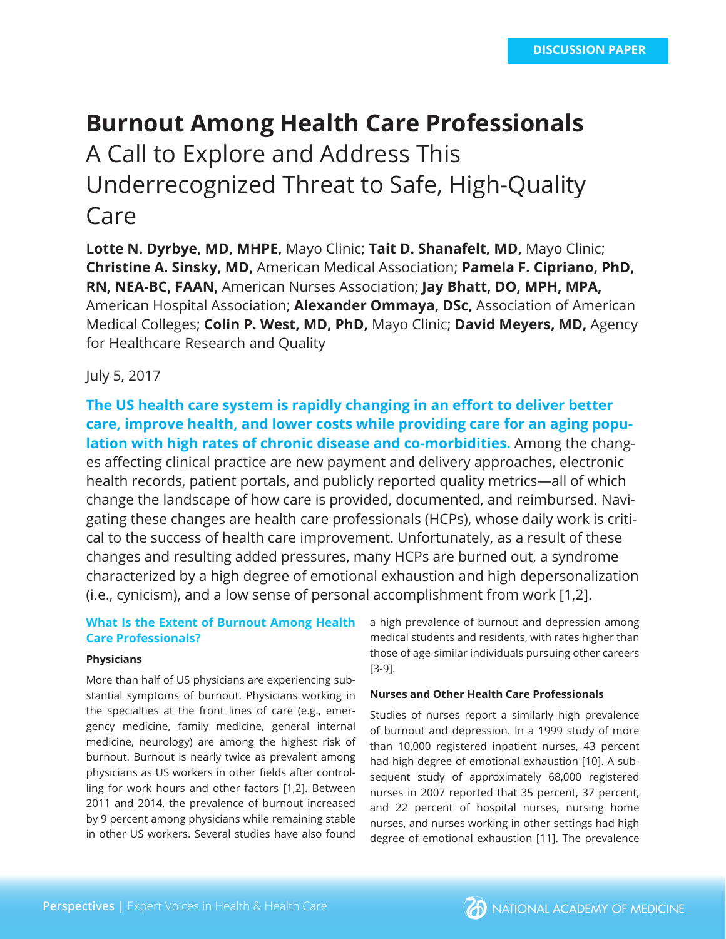# **Burnout Among Health Care Professionals** A Call to Explore and Address This Underrecognized Threat to Safe, High-Quality Care

**Lotte N. Dyrbye, MD, MHPE,** Mayo Clinic; **Tait D. Shanafelt, MD,** Mayo Clinic; **Christine A. Sinsky, MD,** American Medical Association; **Pamela F. Cipriano, PhD, RN, NEA-BC, FAAN,** American Nurses Association; **Jay Bhatt, DO, MPH, MPA,** American Hospital Association; **Alexander Ommaya, DSc,** Association of American Medical Colleges; **Colin P. West, MD, PhD,** Mayo Clinic; **David Meyers, MD,** Agency for Healthcare Research and Quality

# July 5, 2017

**The US health care system is rapidly changing in an effort to deliver better care, improve health, and lower costs while providing care for an aging population with high rates of chronic disease and co-morbidities.** Among the changes affecting clinical practice are new payment and delivery approaches, electronic health records, patient portals, and publicly reported quality metrics—all of which change the landscape of how care is provided, documented, and reimbursed. Navigating these changes are health care professionals (HCPs), whose daily work is critical to the success of health care improvement. Unfortunately, as a result of these changes and resulting added pressures, many HCPs are burned out, a syndrome characterized by a high degree of emotional exhaustion and high depersonalization (i.e., cynicism), and a low sense of personal accomplishment from work [1,2].

# **What Is the Extent of Burnout Among Health Care Professionals?**

## **Physicians**

More than half of US physicians are experiencing substantial symptoms of burnout. Physicians working in the specialties at the front lines of care (e.g., emergency medicine, family medicine, general internal medicine, neurology) are among the highest risk of burnout. Burnout is nearly twice as prevalent among physicians as US workers in other fields after controlling for work hours and other factors [1,2]. Between 2011 and 2014, the prevalence of burnout increased by 9 percent among physicians while remaining stable in other US workers. Several studies have also found

a high prevalence of burnout and depression among medical students and residents, with rates higher than those of age-similar individuals pursuing other careers [3-9].

## **Nurses and Other Health Care Professionals**

Studies of nurses report a similarly high prevalence of burnout and depression. In a 1999 study of more than 10,000 registered inpatient nurses, 43 percent had high degree of emotional exhaustion [10]. A subsequent study of approximately 68,000 registered nurses in 2007 reported that 35 percent, 37 percent, and 22 percent of hospital nurses, nursing home nurses, and nurses working in other settings had high degree of emotional exhaustion [11]. The prevalence

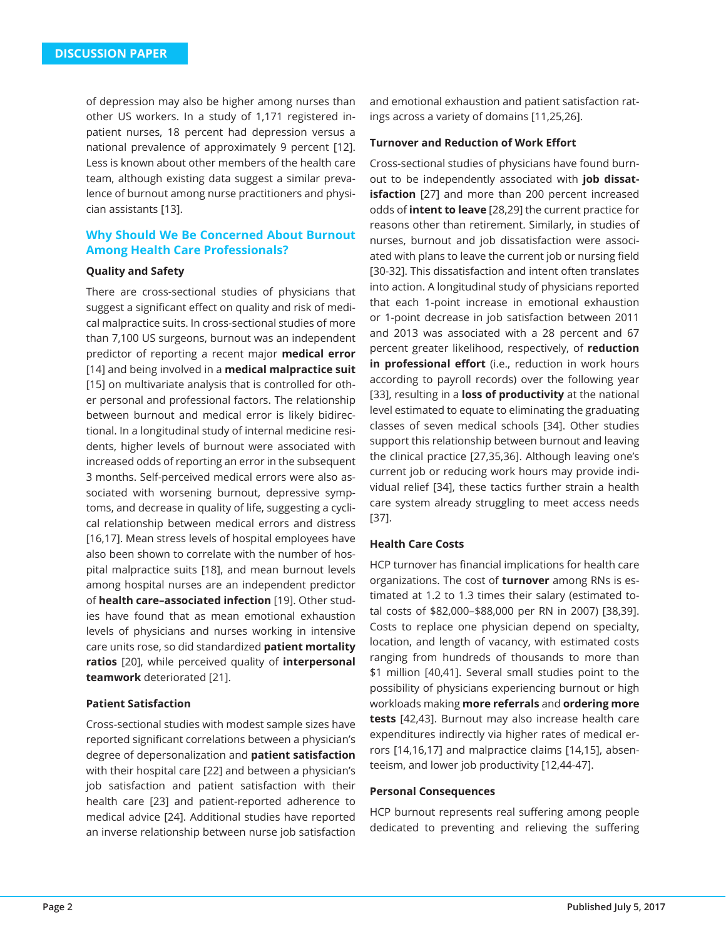of depression may also be higher among nurses than other US workers. In a study of 1,171 registered inpatient nurses, 18 percent had depression versus a national prevalence of approximately 9 percent [12]. Less is known about other members of the health care team, although existing data suggest a similar prevalence of burnout among nurse practitioners and physician assistants [13].

# **Why Should We Be Concerned About Burnout Among Health Care Professionals?**

## **Quality and Safety**

There are cross-sectional studies of physicians that suggest a significant effect on quality and risk of medical malpractice suits. In cross-sectional studies of more than 7,100 US surgeons, burnout was an independent predictor of reporting a recent major **medical error**  [14] and being involved in a **medical malpractice suit**  [15] on multivariate analysis that is controlled for other personal and professional factors. The relationship between burnout and medical error is likely bidirectional. In a longitudinal study of internal medicine residents, higher levels of burnout were associated with increased odds of reporting an error in the subsequent 3 months. Self-perceived medical errors were also associated with worsening burnout, depressive symptoms, and decrease in quality of life, suggesting a cyclical relationship between medical errors and distress [16,17]. Mean stress levels of hospital employees have also been shown to correlate with the number of hospital malpractice suits [18], and mean burnout levels among hospital nurses are an independent predictor of **health care–associated infection** [19]. Other studies have found that as mean emotional exhaustion levels of physicians and nurses working in intensive care units rose, so did standardized **patient mortality ratios** [20], while perceived quality of **interpersonal teamwork** deteriorated [21].

#### **Patient Satisfaction**

Cross-sectional studies with modest sample sizes have reported significant correlations between a physician's degree of depersonalization and **patient satisfaction**  with their hospital care [22] and between a physician's job satisfaction and patient satisfaction with their health care [23] and patient-reported adherence to medical advice [24]. Additional studies have reported an inverse relationship between nurse job satisfaction

and emotional exhaustion and patient satisfaction ratings across a variety of domains [11,25,26].

## **Turnover and Reduction of Work Effort**

Cross-sectional studies of physicians have found burnout to be independently associated with **job dissatisfaction** [27] and more than 200 percent increased odds of **intent to leave** [28,29] the current practice for reasons other than retirement. Similarly, in studies of nurses, burnout and job dissatisfaction were associated with plans to leave the current job or nursing field [30-32]. This dissatisfaction and intent often translates into action. A longitudinal study of physicians reported that each 1-point increase in emotional exhaustion or 1-point decrease in job satisfaction between 2011 and 2013 was associated with a 28 percent and 67 percent greater likelihood, respectively, of **reduction in professional effort** (i.e., reduction in work hours according to payroll records) over the following year [33], resulting in a **loss of productivity** at the national level estimated to equate to eliminating the graduating classes of seven medical schools [34]. Other studies support this relationship between burnout and leaving the clinical practice [27,35,36]. Although leaving one's current job or reducing work hours may provide individual relief [34], these tactics further strain a health care system already struggling to meet access needs [37].

# **Health Care Costs**

HCP turnover has financial implications for health care organizations. The cost of **turnover** among RNs is estimated at 1.2 to 1.3 times their salary (estimated total costs of \$82,000–\$88,000 per RN in 2007) [38,39]. Costs to replace one physician depend on specialty, location, and length of vacancy, with estimated costs ranging from hundreds of thousands to more than \$1 million [40,41]. Several small studies point to the possibility of physicians experiencing burnout or high workloads making **more referrals** and **ordering more tests** [42,43]. Burnout may also increase health care expenditures indirectly via higher rates of medical errors [14,16,17] and malpractice claims [14,15], absenteeism, and lower job productivity [12,44-47].

#### **Personal Consequences**

HCP burnout represents real suffering among people dedicated to preventing and relieving the suffering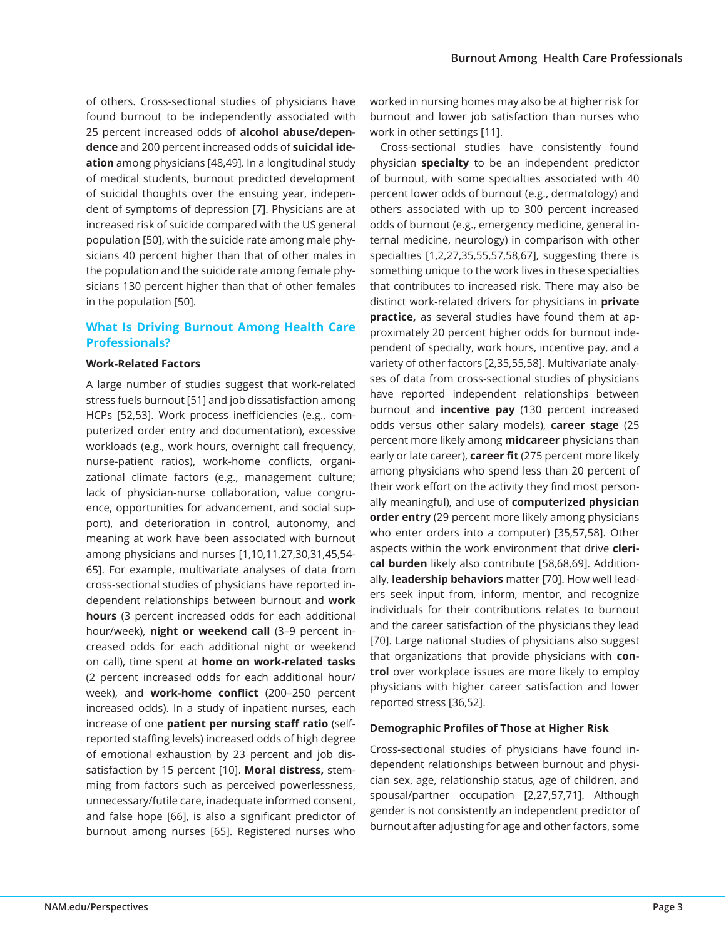of others. Cross-sectional studies of physicians have found burnout to be independently associated with 25 percent increased odds of **alcohol abuse/dependence** and 200 percent increased odds of **suicidal ideation** among physicians [48,49]. In a longitudinal study of medical students, burnout predicted development of suicidal thoughts over the ensuing year, independent of symptoms of depression [7]. Physicians are at increased risk of suicide compared with the US general population [50], with the suicide rate among male physicians 40 percent higher than that of other males in the population and the suicide rate among female physicians 130 percent higher than that of other females in the population [50].

# **What Is Driving Burnout Among Health Care Professionals?**

## **Work-Related Factors**

A large number of studies suggest that work-related stress fuels burnout [51] and job dissatisfaction among HCPs [52,53]. Work process inefficiencies (e.g., computerized order entry and documentation), excessive workloads (e.g., work hours, overnight call frequency, nurse-patient ratios), work-home conflicts, organizational climate factors (e.g., management culture; lack of physician-nurse collaboration, value congruence, opportunities for advancement, and social support), and deterioration in control, autonomy, and meaning at work have been associated with burnout among physicians and nurses [1,10,11,27,30,31,45,54- 65]. For example, multivariate analyses of data from cross-sectional studies of physicians have reported independent relationships between burnout and **work hours** (3 percent increased odds for each additional hour/week), **night or weekend call** (3–9 percent increased odds for each additional night or weekend on call), time spent at **home on work-related tasks** (2 percent increased odds for each additional hour/ week), and **work-home conflict** (200–250 percent increased odds). In a study of inpatient nurses, each increase of one **patient per nursing staff ratio** (selfreported staffing levels) increased odds of high degree of emotional exhaustion by 23 percent and job dissatisfaction by 15 percent [10]. **Moral distress,** stemming from factors such as perceived powerlessness, unnecessary/futile care, inadequate informed consent, and false hope [66], is also a significant predictor of burnout among nurses [65]. Registered nurses who

worked in nursing homes may also be at higher risk for burnout and lower job satisfaction than nurses who work in other settings [11].

Cross-sectional studies have consistently found physician **specialty** to be an independent predictor of burnout, with some specialties associated with 40 percent lower odds of burnout (e.g., dermatology) and others associated with up to 300 percent increased odds of burnout (e.g., emergency medicine, general internal medicine, neurology) in comparison with other specialties [1,2,27,35,55,57,58,67], suggesting there is something unique to the work lives in these specialties that contributes to increased risk. There may also be distinct work-related drivers for physicians in **private practice,** as several studies have found them at approximately 20 percent higher odds for burnout independent of specialty, work hours, incentive pay, and a variety of other factors [2,35,55,58]. Multivariate analyses of data from cross-sectional studies of physicians have reported independent relationships between burnout and **incentive pay** (130 percent increased odds versus other salary models), **career stage** (25 percent more likely among **midcareer** physicians than early or late career), **career fit** (275 percent more likely among physicians who spend less than 20 percent of their work effort on the activity they find most personally meaningful), and use of **computerized physician order entry** (29 percent more likely among physicians who enter orders into a computer) [35,57,58]. Other aspects within the work environment that drive **clerical burden** likely also contribute [58,68,69]. Additionally, **leadership behaviors** matter [70]. How well leaders seek input from, inform, mentor, and recognize individuals for their contributions relates to burnout and the career satisfaction of the physicians they lead [70]. Large national studies of physicians also suggest that organizations that provide physicians with **control** over workplace issues are more likely to employ physicians with higher career satisfaction and lower reported stress [36,52].

## **Demographic Profiles of Those at Higher Risk**

Cross-sectional studies of physicians have found independent relationships between burnout and physician sex, age, relationship status, age of children, and spousal/partner occupation [2,27,57,71]. Although gender is not consistently an independent predictor of burnout after adjusting for age and other factors, some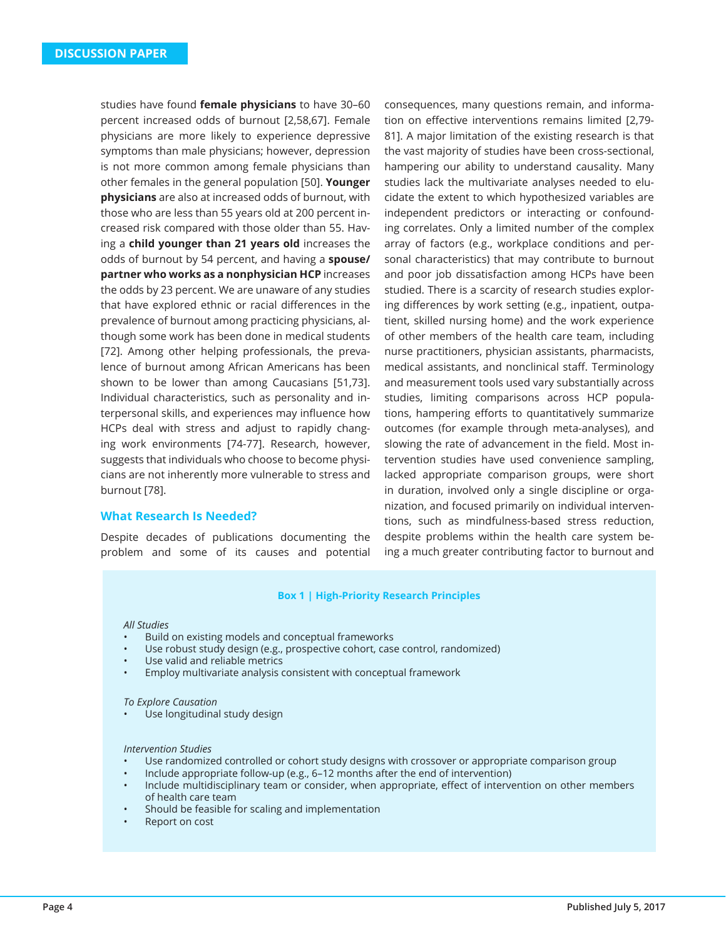studies have found **female physicians** to have 30–60 percent increased odds of burnout [2,58,67]. Female physicians are more likely to experience depressive symptoms than male physicians; however, depression is not more common among female physicians than other females in the general population [50]. **Younger physicians** are also at increased odds of burnout, with those who are less than 55 years old at 200 percent increased risk compared with those older than 55. Having a **child younger than 21 years old** increases the odds of burnout by 54 percent, and having a **spouse/ partner who works as a nonphysician HCP** increases the odds by 23 percent. We are unaware of any studies that have explored ethnic or racial differences in the prevalence of burnout among practicing physicians, although some work has been done in medical students [72]. Among other helping professionals, the prevalence of burnout among African Americans has been shown to be lower than among Caucasians [51,73]. Individual characteristics, such as personality and interpersonal skills, and experiences may influence how HCPs deal with stress and adjust to rapidly changing work environments [74-77]. Research, however, suggests that individuals who choose to become physicians are not inherently more vulnerable to stress and burnout [78].

## **What Research Is Needed?**

Despite decades of publications documenting the problem and some of its causes and potential consequences, many questions remain, and information on effective interventions remains limited [2,79- 81]. A major limitation of the existing research is that the vast majority of studies have been cross-sectional, hampering our ability to understand causality. Many studies lack the multivariate analyses needed to elucidate the extent to which hypothesized variables are independent predictors or interacting or confounding correlates. Only a limited number of the complex array of factors (e.g., workplace conditions and personal characteristics) that may contribute to burnout and poor job dissatisfaction among HCPs have been studied. There is a scarcity of research studies exploring differences by work setting (e.g., inpatient, outpatient, skilled nursing home) and the work experience of other members of the health care team, including nurse practitioners, physician assistants, pharmacists, medical assistants, and nonclinical staff. Terminology and measurement tools used vary substantially across studies, limiting comparisons across HCP populations, hampering efforts to quantitatively summarize outcomes (for example through meta-analyses), and slowing the rate of advancement in the field. Most intervention studies have used convenience sampling, lacked appropriate comparison groups, were short in duration, involved only a single discipline or organization, and focused primarily on individual interventions, such as mindfulness-based stress reduction, despite problems within the health care system being a much greater contributing factor to burnout and

#### **Box 1 | High-Priority Research Principles**

#### *All Studies*

- Build on existing models and conceptual frameworks
- Use robust study design (e.g., prospective cohort, case control, randomized)
- Use valid and reliable metrics
- Employ multivariate analysis consistent with conceptual framework

#### *To Explore Causation*

Use longitudinal study design

#### *Intervention Studies*

- Use randomized controlled or cohort study designs with crossover or appropriate comparison group
- Include appropriate follow-up (e.g., 6–12 months after the end of intervention)
- Include multidisciplinary team or consider, when appropriate, effect of intervention on other members of health care team
- Should be feasible for scaling and implementation
- Report on cost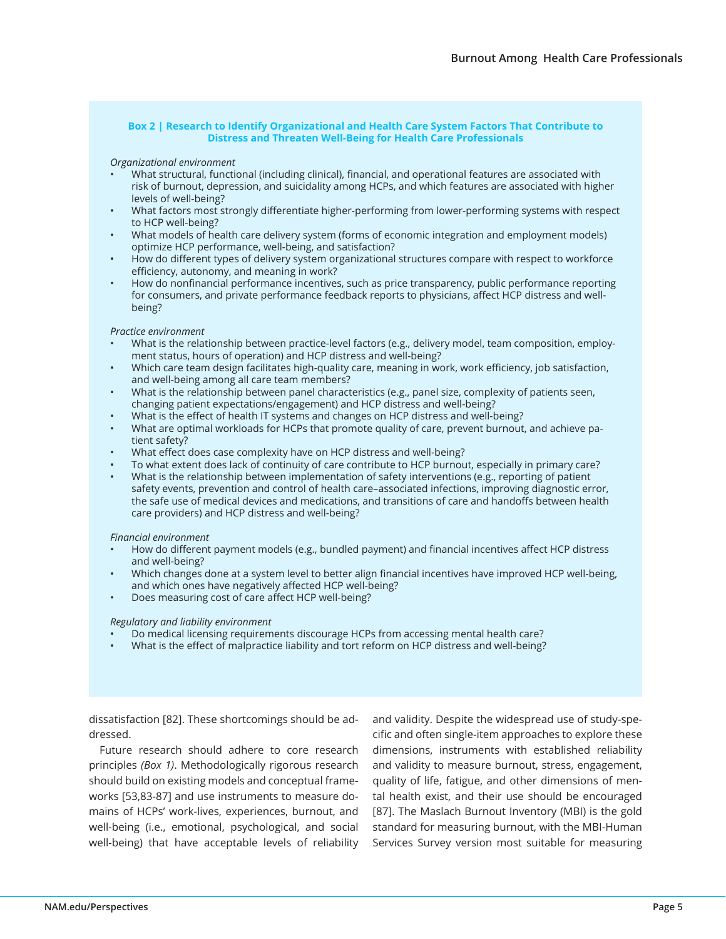#### **Box 2 | Research to Identify Organizational and Health Care System Factors That Contribute to Distress and Threaten Well-Being for Health Care Professionals**

#### *Organizational environment*

- What structural, functional (including clinical), financial, and operational features are associated with risk of burnout, depression, and suicidality among HCPs, and which features are associated with higher levels of well-being?
- What factors most strongly differentiate higher-performing from lower-performing systems with respect to HCP well-being?
- What models of health care delivery system (forms of economic integration and employment models) optimize HCP performance, well-being, and satisfaction?
- How do different types of delivery system organizational structures compare with respect to workforce efficiency, autonomy, and meaning in work?
- How do nonfinancial performance incentives, such as price transparency, public performance reporting for consumers, and private performance feedback reports to physicians, affect HCP distress and wellbeing?

#### *Practice environment*

- What is the relationship between practice-level factors (e.g., delivery model, team composition, employment status, hours of operation) and HCP distress and well-being?
- Which care team design facilitates high-quality care, meaning in work, work efficiency, job satisfaction, and well-being among all care team members?
- What is the relationship between panel characteristics (e.g., panel size, complexity of patients seen, changing patient expectations/engagement) and HCP distress and well-being?
- What is the effect of health IT systems and changes on HCP distress and well-being?
- What are optimal workloads for HCPs that promote quality of care, prevent burnout, and achieve patient safety?
- What effect does case complexity have on HCP distress and well-being?
- To what extent does lack of continuity of care contribute to HCP burnout, especially in primary care?
- What is the relationship between implementation of safety interventions (e.g., reporting of patient safety events, prevention and control of health care–associated infections, improving diagnostic error, the safe use of medical devices and medications, and transitions of care and handoffs between health care providers) and HCP distress and well-being?

#### *Financial environment*

- How do different payment models (e.g., bundled payment) and financial incentives affect HCP distress and well-being?
- Which changes done at a system level to better align financial incentives have improved HCP well-being, and which ones have negatively affected HCP well-being?
- Does measuring cost of care affect HCP well-being?

#### *Regulatory and liability environment*

- Do medical licensing requirements discourage HCPs from accessing mental health care?
- What is the effect of malpractice liability and tort reform on HCP distress and well-being?

dissatisfaction [82]. These shortcomings should be addressed.

Future research should adhere to core research principles *(Box 1)*. Methodologically rigorous research should build on existing models and conceptual frameworks [53,83-87] and use instruments to measure domains of HCPs' work-lives, experiences, burnout, and well-being (i.e., emotional, psychological, and social well-being) that have acceptable levels of reliability and validity. Despite the widespread use of study-specific and often single-item approaches to explore these dimensions, instruments with established reliability and validity to measure burnout, stress, engagement, quality of life, fatigue, and other dimensions of mental health exist, and their use should be encouraged [87]. The Maslach Burnout Inventory (MBI) is the gold standard for measuring burnout, with the MBI-Human Services Survey version most suitable for measuring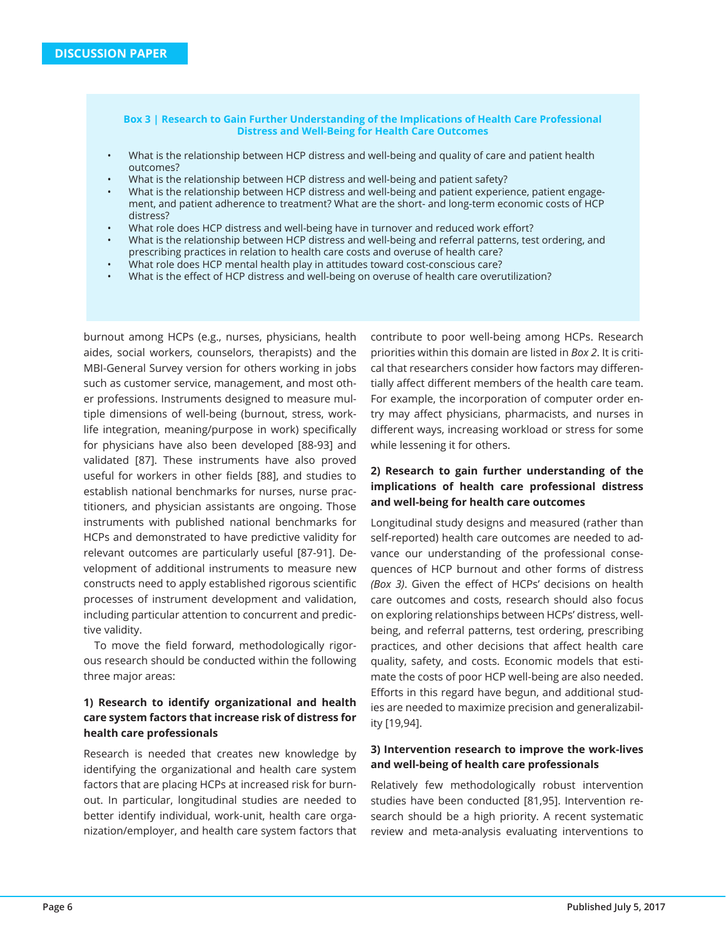#### **Box 3 | Research to Gain Further Understanding of the Implications of Health Care Professional Distress and Well-Being for Health Care Outcomes**

- What is the relationship between HCP distress and well-being and quality of care and patient health outcomes?
- What is the relationship between HCP distress and well-being and patient safety?
- What is the relationship between HCP distress and well-being and patient experience, patient engagement, and patient adherence to treatment? What are the short- and long-term economic costs of HCP distress?
- What role does HCP distress and well-being have in turnover and reduced work effort?
- What is the relationship between HCP distress and well-being and referral patterns, test ordering, and prescribing practices in relation to health care costs and overuse of health care?
- What role does HCP mental health play in attitudes toward cost-conscious care?
- What is the effect of HCP distress and well-being on overuse of health care overutilization?

burnout among HCPs (e.g., nurses, physicians, health aides, social workers, counselors, therapists) and the MBI-General Survey version for others working in jobs such as customer service, management, and most other professions. Instruments designed to measure multiple dimensions of well-being (burnout, stress, worklife integration, meaning/purpose in work) specifically for physicians have also been developed [88-93] and validated [87]. These instruments have also proved useful for workers in other fields [88], and studies to establish national benchmarks for nurses, nurse practitioners, and physician assistants are ongoing. Those instruments with published national benchmarks for HCPs and demonstrated to have predictive validity for relevant outcomes are particularly useful [87-91]. Development of additional instruments to measure new constructs need to apply established rigorous scientific processes of instrument development and validation, including particular attention to concurrent and predictive validity.

To move the field forward, methodologically rigorous research should be conducted within the following three major areas:

# **1) Research to identify organizational and health care system factors that increase risk of distress for health care professionals**

Research is needed that creates new knowledge by identifying the organizational and health care system factors that are placing HCPs at increased risk for burnout. In particular, longitudinal studies are needed to better identify individual, work-unit, health care organization/employer, and health care system factors that contribute to poor well-being among HCPs. Research priorities within this domain are listed in *Box 2*. It is critical that researchers consider how factors may differentially affect different members of the health care team. For example, the incorporation of computer order entry may affect physicians, pharmacists, and nurses in different ways, increasing workload or stress for some while lessening it for others.

# **2) Research to gain further understanding of the implications of health care professional distress and well-being for health care outcomes**

Longitudinal study designs and measured (rather than self-reported) health care outcomes are needed to advance our understanding of the professional consequences of HCP burnout and other forms of distress *(Box 3)*. Given the effect of HCPs' decisions on health care outcomes and costs, research should also focus on exploring relationships between HCPs' distress, wellbeing, and referral patterns, test ordering, prescribing practices, and other decisions that affect health care quality, safety, and costs. Economic models that estimate the costs of poor HCP well-being are also needed. Efforts in this regard have begun, and additional studies are needed to maximize precision and generalizability [19,94].

## **3) Intervention research to improve the work-lives and well-being of health care professionals**

Relatively few methodologically robust intervention studies have been conducted [81,95]. Intervention research should be a high priority. A recent systematic review and meta-analysis evaluating interventions to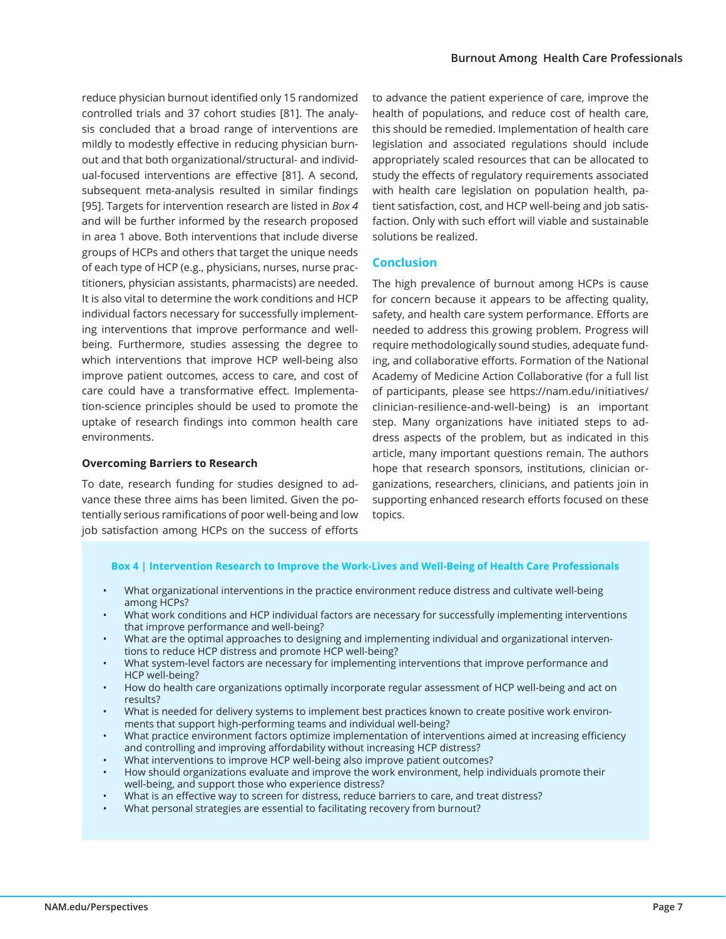reduce physician burnout identified only 15 randomized controlled trials and 37 cohort studies [81]. The analysis concluded that a broad range of interventions are mildly to modestly effective in reducing physician burnout and that both organizational/structural- and individual-focused interventions are effective [81]. A second, subsequent meta-analysis resulted in similar findings [95]. Targets for intervention research are listed in *Box 4*  and will be further informed by the research proposed in area 1 above. Both interventions that include diverse groups of HCPs and others that target the unique needs of each type of HCP (e.g., physicians, nurses, nurse practitioners, physician assistants, pharmacists) are needed. It is also vital to determine the work conditions and HCP individual factors necessary for successfully implementing interventions that improve performance and wellbeing. Furthermore, studies assessing the degree to which interventions that improve HCP well-being also improve patient outcomes, access to care, and cost of care could have a transformative effect. Implementation-science principles should be used to promote the uptake of research findings into common health care environments.

## **Overcoming Barriers to Research**

To date, research funding for studies designed to advance these three aims has been limited. Given the potentially serious ramifications of poor well-being and low job satisfaction among HCPs on the success of efforts to advance the patient experience of care, improve the health of populations, and reduce cost of health care, this should be remedied. Implementation of health care legislation and associated regulations should include appropriately scaled resources that can be allocated to study the effects of regulatory requirements associated with health care legislation on population health, patient satisfaction, cost, and HCP well-being and job satisfaction. Only with such effort will viable and sustainable solutions be realized.

## **Conclusion**

The high prevalence of burnout among HCPs is cause for concern because it appears to be affecting quality, safety, and health care system performance. Efforts are needed to address this growing problem. Progress will require methodologically sound studies, adequate funding, and collaborative efforts. Formation of the National Academy of Medicine Action Collaborative (for a full list of participants, please see https://nam.edu/initiatives/ clinician-resilience-and-well-being) is an important step. Many organizations have initiated steps to address aspects of the problem, but as indicated in this article, many important questions remain. The authors hope that research sponsors, institutions, clinician organizations, researchers, clinicians, and patients join in supporting enhanced research efforts focused on these topics.

#### **Box 4 | Intervention Research to Improve the Work-Lives and Well-Being of Health Care Professionals**

- What organizational interventions in the practice environment reduce distress and cultivate well-being among HCPs?
- What work conditions and HCP individual factors are necessary for successfully implementing interventions that improve performance and well-being?
- What are the optimal approaches to designing and implementing individual and organizational interventions to reduce HCP distress and promote HCP well-being?
- What system-level factors are necessary for implementing interventions that improve performance and HCP well-being?
- How do health care organizations optimally incorporate regular assessment of HCP well-being and act on results?
- What is needed for delivery systems to implement best practices known to create positive work environments that support high-performing teams and individual well-being?
- What practice environment factors optimize implementation of interventions aimed at increasing efficiency and controlling and improving affordability without increasing HCP distress?
- What interventions to improve HCP well-being also improve patient outcomes?
- How should organizations evaluate and improve the work environment, help individuals promote their well-being, and support those who experience distress?
- What is an effective way to screen for distress, reduce barriers to care, and treat distress?
- What personal strategies are essential to facilitating recovery from burnout?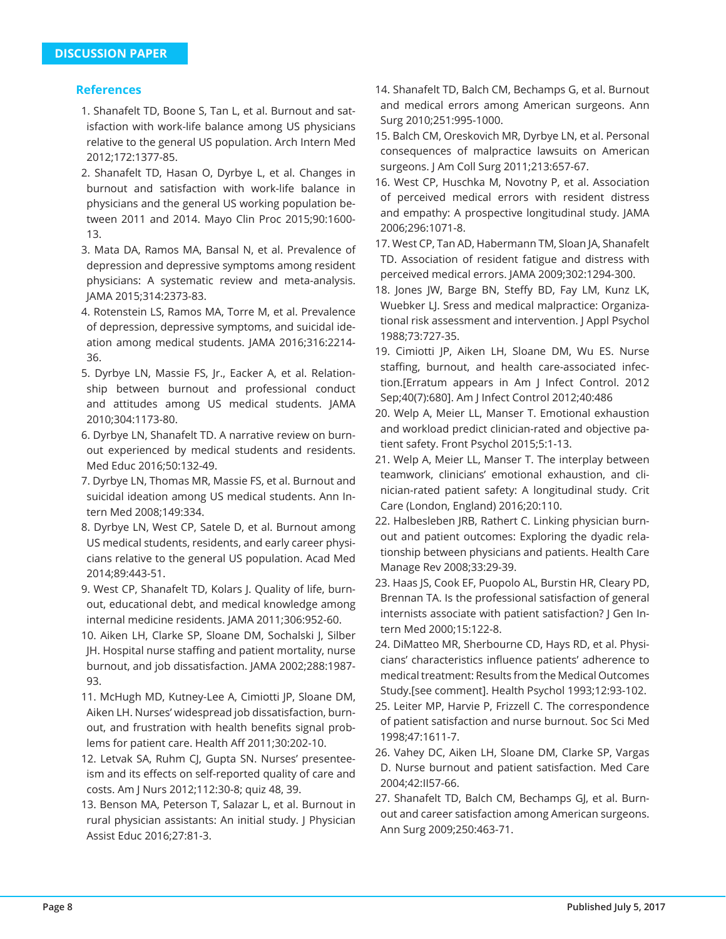# **References**

- 1. Shanafelt TD, Boone S, Tan L, et al. Burnout and satisfaction with work-life balance among US physicians relative to the general US population. Arch Intern Med 2012;172:1377-85.
- 2. Shanafelt TD, Hasan O, Dyrbye L, et al. Changes in burnout and satisfaction with work-life balance in physicians and the general US working population between 2011 and 2014. Mayo Clin Proc 2015;90:1600- 13.
- 3. Mata DA, Ramos MA, Bansal N, et al. Prevalence of depression and depressive symptoms among resident physicians: A systematic review and meta-analysis. JAMA 2015;314:2373-83.
- 4. Rotenstein LS, Ramos MA, Torre M, et al. Prevalence of depression, depressive symptoms, and suicidal ideation among medical students. JAMA 2016;316:2214- 36.
- 5. Dyrbye LN, Massie FS, Jr., Eacker A, et al. Relationship between burnout and professional conduct and attitudes among US medical students. JAMA 2010;304:1173-80.
- 6. Dyrbye LN, Shanafelt TD. A narrative review on burnout experienced by medical students and residents. Med Educ 2016;50:132-49.
- 7. Dyrbye LN, Thomas MR, Massie FS, et al. Burnout and suicidal ideation among US medical students. Ann Intern Med 2008;149:334.
- 8. Dyrbye LN, West CP, Satele D, et al. Burnout among US medical students, residents, and early career physicians relative to the general US population. Acad Med 2014;89:443-51.
- 9. West CP, Shanafelt TD, Kolars J. Quality of life, burnout, educational debt, and medical knowledge among internal medicine residents. JAMA 2011;306:952-60.
- 10. Aiken LH, Clarke SP, Sloane DM, Sochalski J, Silber JH. Hospital nurse staffing and patient mortality, nurse burnout, and job dissatisfaction. JAMA 2002;288:1987- 93.
- 11. McHugh MD, Kutney-Lee A, Cimiotti JP, Sloane DM, Aiken LH. Nurses' widespread job dissatisfaction, burnout, and frustration with health benefits signal problems for patient care. Health Aff 2011;30:202-10.
- 12. Letvak SA, Ruhm CJ, Gupta SN. Nurses' presenteeism and its effects on self-reported quality of care and costs. Am J Nurs 2012;112:30-8; quiz 48, 39.
- 13. Benson MA, Peterson T, Salazar L, et al. Burnout in rural physician assistants: An initial study. J Physician Assist Educ 2016;27:81-3.
- 14. Shanafelt TD, Balch CM, Bechamps G, et al. Burnout and medical errors among American surgeons. Ann Surg 2010;251:995-1000.
- 15. Balch CM, Oreskovich MR, Dyrbye LN, et al. Personal consequences of malpractice lawsuits on American surgeons. J Am Coll Surg 2011;213:657-67.
- 16. West CP, Huschka M, Novotny P, et al. Association of perceived medical errors with resident distress and empathy: A prospective longitudinal study. JAMA 2006;296:1071-8.
- 17. West CP, Tan AD, Habermann TM, Sloan JA, Shanafelt TD. Association of resident fatigue and distress with perceived medical errors. JAMA 2009;302:1294-300.
- 18. Jones JW, Barge BN, Steffy BD, Fay LM, Kunz LK, Wuebker LJ. Sress and medical malpractice: Organizational risk assessment and intervention. J Appl Psychol 1988;73:727-35.
- 19. Cimiotti JP, Aiken LH, Sloane DM, Wu ES. Nurse staffing, burnout, and health care-associated infection.[Erratum appears in Am J Infect Control. 2012 Sep;40(7):680]. Am J Infect Control 2012;40:486
- 20. Welp A, Meier LL, Manser T. Emotional exhaustion and workload predict clinician-rated and objective patient safety. Front Psychol 2015;5:1-13.
- 21. Welp A, Meier LL, Manser T. The interplay between teamwork, clinicians' emotional exhaustion, and clinician-rated patient safety: A longitudinal study. Crit Care (London, England) 2016;20:110.
- 22. Halbesleben JRB, Rathert C. Linking physician burnout and patient outcomes: Exploring the dyadic relationship between physicians and patients. Health Care Manage Rev 2008;33:29-39.
- 23. Haas JS, Cook EF, Puopolo AL, Burstin HR, Cleary PD, Brennan TA. Is the professional satisfaction of general internists associate with patient satisfaction? J Gen Intern Med 2000;15:122-8.
- 24. DiMatteo MR, Sherbourne CD, Hays RD, et al. Physicians' characteristics influence patients' adherence to medical treatment: Results from the Medical Outcomes Study.[see comment]. Health Psychol 1993;12:93-102.
- 25. Leiter MP, Harvie P, Frizzell C. The correspondence of patient satisfaction and nurse burnout. Soc Sci Med 1998;47:1611-7.
- 26. Vahey DC, Aiken LH, Sloane DM, Clarke SP, Vargas D. Nurse burnout and patient satisfaction. Med Care 2004;42:II57-66.
- 27. Shanafelt TD, Balch CM, Bechamps GJ, et al. Burnout and career satisfaction among American surgeons. Ann Surg 2009;250:463-71.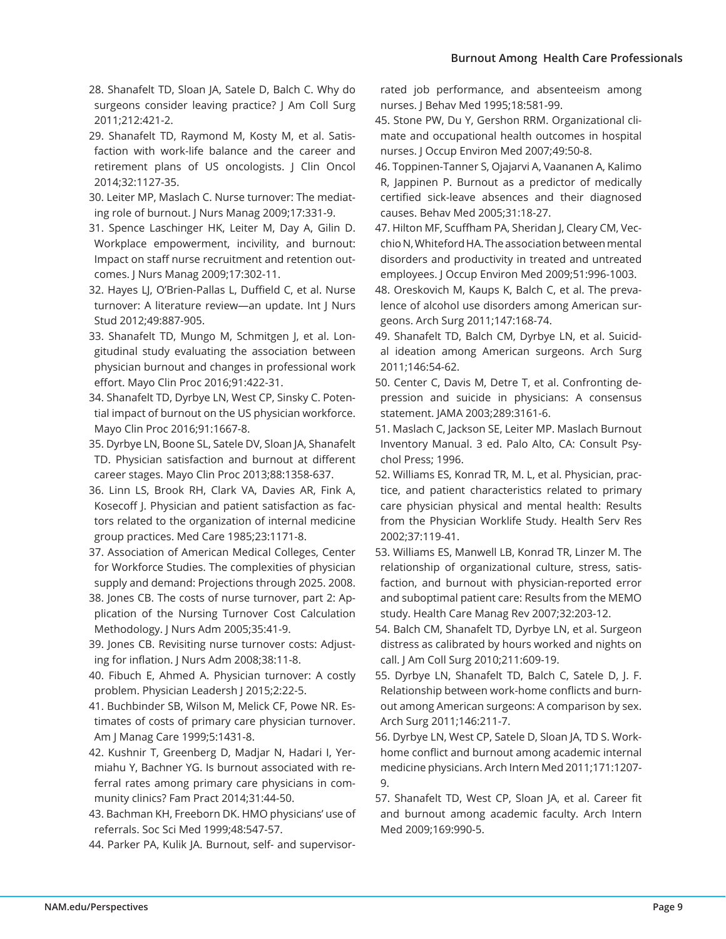- 28. Shanafelt TD, Sloan JA, Satele D, Balch C. Why do surgeons consider leaving practice? J Am Coll Surg 2011;212:421-2.
- 29. Shanafelt TD, Raymond M, Kosty M, et al. Satisfaction with work-life balance and the career and retirement plans of US oncologists. J Clin Oncol 2014;32:1127-35.
- 30. Leiter MP, Maslach C. Nurse turnover: The mediating role of burnout. J Nurs Manag 2009;17:331-9.
- 31. Spence Laschinger HK, Leiter M, Day A, Gilin D. Workplace empowerment, incivility, and burnout: Impact on staff nurse recruitment and retention outcomes. J Nurs Manag 2009;17:302-11.
- 32. Hayes LJ, O'Brien-Pallas L, Duffield C, et al. Nurse turnover: A literature review—an update. Int J Nurs Stud 2012;49:887-905.
- 33. Shanafelt TD, Mungo M, Schmitgen J, et al. Longitudinal study evaluating the association between physician burnout and changes in professional work effort. Mayo Clin Proc 2016;91:422-31.
- 34. Shanafelt TD, Dyrbye LN, West CP, Sinsky C. Potential impact of burnout on the US physician workforce. Mayo Clin Proc 2016;91:1667-8.
- 35. Dyrbye LN, Boone SL, Satele DV, Sloan JA, Shanafelt TD. Physician satisfaction and burnout at different career stages. Mayo Clin Proc 2013;88:1358-637.
- 36. Linn LS, Brook RH, Clark VA, Davies AR, Fink A, Kosecoff J. Physician and patient satisfaction as factors related to the organization of internal medicine group practices. Med Care 1985;23:1171-8.
- 37. Association of American Medical Colleges, Center for Workforce Studies. The complexities of physician supply and demand: Projections through 2025. 2008.
- 38. Jones CB. The costs of nurse turnover, part 2: Application of the Nursing Turnover Cost Calculation Methodology. J Nurs Adm 2005;35:41-9.
- 39. Jones CB. Revisiting nurse turnover costs: Adjusting for inflation. J Nurs Adm 2008;38:11-8.
- 40. Fibuch E, Ahmed A. Physician turnover: A costly problem. Physician Leadersh J 2015;2:22-5.
- 41. Buchbinder SB, Wilson M, Melick CF, Powe NR. Estimates of costs of primary care physician turnover. Am J Manag Care 1999;5:1431-8.
- 42. Kushnir T, Greenberg D, Madjar N, Hadari I, Yermiahu Y, Bachner YG. Is burnout associated with referral rates among primary care physicians in community clinics? Fam Pract 2014;31:44-50.
- 43. Bachman KH, Freeborn DK. HMO physicians' use of referrals. Soc Sci Med 1999;48:547-57.
- 44. Parker PA, Kulik JA. Burnout, self- and supervisor-

rated job performance, and absenteeism among nurses. J Behav Med 1995;18:581-99.

- 45. Stone PW, Du Y, Gershon RRM. Organizational climate and occupational health outcomes in hospital nurses. J Occup Environ Med 2007;49:50-8.
- 46. Toppinen-Tanner S, Ojajarvi A, Vaananen A, Kalimo R, Jappinen P. Burnout as a predictor of medically certified sick-leave absences and their diagnosed causes. Behav Med 2005;31:18-27.
- 47. Hilton MF, Scuffham PA, Sheridan J, Cleary CM, Vecchio N, Whiteford HA. The association between mental disorders and productivity in treated and untreated employees. J Occup Environ Med 2009;51:996-1003.
- 48. Oreskovich M, Kaups K, Balch C, et al. The prevalence of alcohol use disorders among American surgeons. Arch Surg 2011;147:168-74.
- 49. Shanafelt TD, Balch CM, Dyrbye LN, et al. Suicidal ideation among American surgeons. Arch Surg 2011;146:54-62.
- 50. Center C, Davis M, Detre T, et al. Confronting depression and suicide in physicians: A consensus statement. JAMA 2003;289:3161-6.
- 51. Maslach C, Jackson SE, Leiter MP. Maslach Burnout Inventory Manual. 3 ed. Palo Alto, CA: Consult Psychol Press; 1996.
- 52. Williams ES, Konrad TR, M. L, et al. Physician, practice, and patient characteristics related to primary care physician physical and mental health: Results from the Physician Worklife Study. Health Serv Res 2002;37:119-41.
- 53. Williams ES, Manwell LB, Konrad TR, Linzer M. The relationship of organizational culture, stress, satisfaction, and burnout with physician-reported error and suboptimal patient care: Results from the MEMO study. Health Care Manag Rev 2007;32:203-12.
- 54. Balch CM, Shanafelt TD, Dyrbye LN, et al. Surgeon distress as calibrated by hours worked and nights on call. J Am Coll Surg 2010;211:609-19.
- 55. Dyrbye LN, Shanafelt TD, Balch C, Satele D, J. F. Relationship between work-home conflicts and burnout among American surgeons: A comparison by sex. Arch Surg 2011;146:211-7.
- 56. Dyrbye LN, West CP, Satele D, Sloan JA, TD S. Workhome conflict and burnout among academic internal medicine physicians. Arch Intern Med 2011;171:1207- 9.
- 57. Shanafelt TD, West CP, Sloan JA, et al. Career fit and burnout among academic faculty. Arch Intern Med 2009;169:990-5.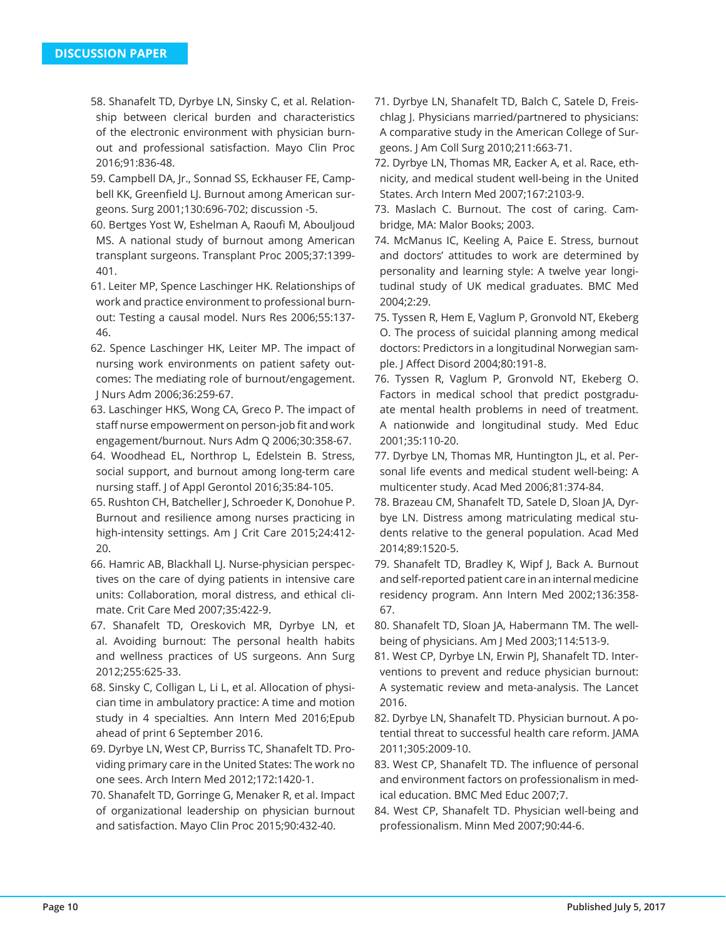- 58. Shanafelt TD, Dyrbye LN, Sinsky C, et al. Relationship between clerical burden and characteristics of the electronic environment with physician burnout and professional satisfaction. Mayo Clin Proc 2016;91:836-48.
- 59. Campbell DA, Jr., Sonnad SS, Eckhauser FE, Campbell KK, Greenfield LJ. Burnout among American surgeons. Surg 2001;130:696-702; discussion -5.
- 60. Bertges Yost W, Eshelman A, Raoufi M, Abouljoud MS. A national study of burnout among American transplant surgeons. Transplant Proc 2005;37:1399- 401.
- 61. Leiter MP, Spence Laschinger HK. Relationships of work and practice environment to professional burnout: Testing a causal model. Nurs Res 2006;55:137- 46.
- 62. Spence Laschinger HK, Leiter MP. The impact of nursing work environments on patient safety outcomes: The mediating role of burnout/engagement. J Nurs Adm 2006;36:259-67.
- 63. Laschinger HKS, Wong CA, Greco P. The impact of staff nurse empowerment on person-job fit and work engagement/burnout. Nurs Adm Q 2006;30:358-67.
- 64. Woodhead EL, Northrop L, Edelstein B. Stress, social support, and burnout among long-term care nursing staff. J of Appl Gerontol 2016;35:84-105.
- 65. Rushton CH, Batcheller J, Schroeder K, Donohue P. Burnout and resilience among nurses practicing in high-intensity settings. Am J Crit Care 2015;24:412- 20.
- 66. Hamric AB, Blackhall LJ. Nurse-physician perspectives on the care of dying patients in intensive care units: Collaboration, moral distress, and ethical climate. Crit Care Med 2007;35:422-9.
- 67. Shanafelt TD, Oreskovich MR, Dyrbye LN, et al. Avoiding burnout: The personal health habits and wellness practices of US surgeons. Ann Surg 2012;255:625-33.
- 68. Sinsky C, Colligan L, Li L, et al. Allocation of physician time in ambulatory practice: A time and motion study in 4 specialties. Ann Intern Med 2016;Epub ahead of print 6 September 2016.
- 69. Dyrbye LN, West CP, Burriss TC, Shanafelt TD. Providing primary care in the United States: The work no one sees. Arch Intern Med 2012;172:1420-1.
- 70. Shanafelt TD, Gorringe G, Menaker R, et al. Impact of organizational leadership on physician burnout and satisfaction. Mayo Clin Proc 2015;90:432-40.
- 71. Dyrbye LN, Shanafelt TD, Balch C, Satele D, Freischlag J. Physicians married/partnered to physicians: A comparative study in the American College of Surgeons. J Am Coll Surg 2010;211:663-71.
- 72. Dyrbye LN, Thomas MR, Eacker A, et al. Race, ethnicity, and medical student well-being in the United States. Arch Intern Med 2007;167:2103-9.
- 73. Maslach C. Burnout. The cost of caring. Cambridge, MA: Malor Books; 2003.
- 74. McManus IC, Keeling A, Paice E. Stress, burnout and doctors' attitudes to work are determined by personality and learning style: A twelve year longitudinal study of UK medical graduates. BMC Med 2004;2:29.
- 75. Tyssen R, Hem E, Vaglum P, Gronvold NT, Ekeberg O. The process of suicidal planning among medical doctors: Predictors in a longitudinal Norwegian sample. J Affect Disord 2004;80:191-8.
- 76. Tyssen R, Vaglum P, Gronvold NT, Ekeberg O. Factors in medical school that predict postgraduate mental health problems in need of treatment. A nationwide and longitudinal study. Med Educ 2001;35:110-20.
- 77. Dyrbye LN, Thomas MR, Huntington JL, et al. Personal life events and medical student well-being: A multicenter study. Acad Med 2006;81:374-84.
- 78. Brazeau CM, Shanafelt TD, Satele D, Sloan JA, Dyrbye LN. Distress among matriculating medical students relative to the general population. Acad Med 2014;89:1520-5.
- 79. Shanafelt TD, Bradley K, Wipf J, Back A. Burnout and self-reported patient care in an internal medicine residency program. Ann Intern Med 2002;136:358- 67.
- 80. Shanafelt TD, Sloan JA, Habermann TM. The wellbeing of physicians. Am J Med 2003;114:513-9.
- 81. West CP, Dyrbye LN, Erwin PJ, Shanafelt TD. Interventions to prevent and reduce physician burnout: A systematic review and meta-analysis. The Lancet 2016.
- 82. Dyrbye LN, Shanafelt TD. Physician burnout. A potential threat to successful health care reform. JAMA 2011;305:2009-10.
- 83. West CP, Shanafelt TD. The influence of personal and environment factors on professionalism in medical education. BMC Med Educ 2007;7.
- 84. West CP, Shanafelt TD. Physician well-being and professionalism. Minn Med 2007;90:44-6.